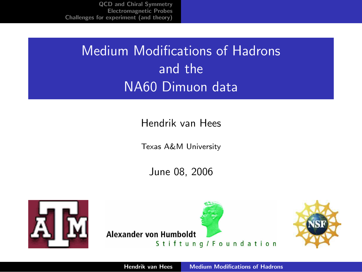# Medium Modifications of Hadrons and the NA60 Dimuon data

#### Hendrik van Hees

Texas A&M University

<span id="page-0-0"></span>June 08, 2006



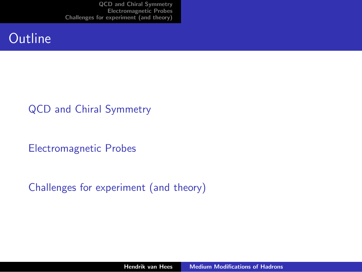### **Outline**

#### [QCD and Chiral Symmetry](#page-2-0)

[Electromagnetic Probes](#page-8-0)

#### [Challenges for experiment \(and theory\)](#page-35-0)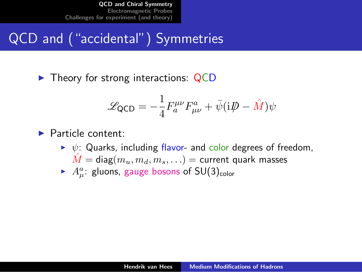# QCD and ("accidental") Symmetries

 $\blacktriangleright$  Theory for strong interactions: QCD

<span id="page-2-0"></span>
$$
\mathcal{L}_{\text{QCD}} = -\frac{1}{4} F_a^{\mu\nu} F_{\mu\nu}^a + \bar{\psi} (i\rlap{\,/}D - \hat{M}) \psi
$$

#### $\blacktriangleright$  Particle content:

- $\triangleright \psi$ : Quarks, including flavor- and color degrees of freedom,  $\hat{M} = \text{diag}(m_u, m_d, m_s, \ldots) = \text{current quark masses}$
- $\blacktriangleright$   $A^a_\mu$ : gluons, gauge bosons of SU(3)<sub>color</sub>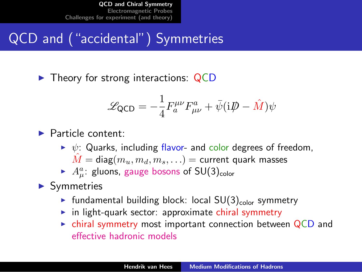# QCD and ("accidental") Symmetries

 $\blacktriangleright$  Theory for strong interactions: QCD

$$
\mathcal{L}_{\text{QCD}} = -\frac{1}{4} F_a^{\mu\nu} F_{\mu\nu}^a + \bar{\psi} (i\rlap{\,/}D - \hat{M}) \psi
$$

#### $\blacktriangleright$  Particle content:

- $\triangleright \psi$ : Quarks, including flavor- and color degrees of freedom,  $\hat{M} = \text{diag}(m_u, m_d, m_s, \ldots) = \text{current quark masses}$
- $\blacktriangleright$   $A^a_\mu$ : gluons, gauge bosons of SU(3)<sub>color</sub>

#### $\blacktriangleright$  Symmetries

- In fundamental building block: local  $SU(3)_{\text{color}}$  symmetry
- $\triangleright$  in light-quark sector: approximate chiral symmetry
- $\triangleright$  chiral symmetry most important connection between QCD and effective hadronic models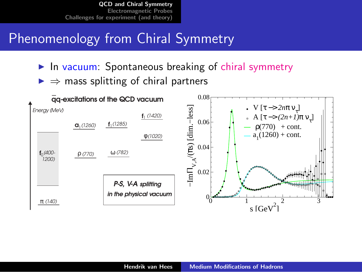## Phenomenology from Chiral Symmetry

- $\blacktriangleright$  In vacuum: Spontaneous breaking of chiral symmetry
- $\Rightarrow$  mass splitting of chiral partners

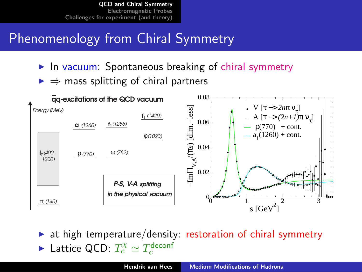## Phenomenology from Chiral Symmetry

- $\blacktriangleright$  In vacuum: Spontaneous breaking of chiral symmetry
- $\Rightarrow$  mass splitting of chiral partners



at high temperature/density: restoration of chiral symmetry ► Lattice QCD:  $T_c^{\chi} \simeq T_c^{\text{deconf}}$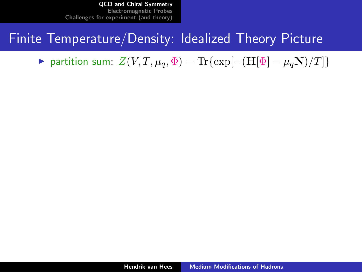### Finite Temperature/Density: Idealized Theory Picture

 $\triangleright$  partition sum:  $Z(V, T, \mu_q, \Phi) = \text{Tr}\{\exp[-(\mathbf{H}[\Phi] - \mu_q \mathbf{N})/T]\}$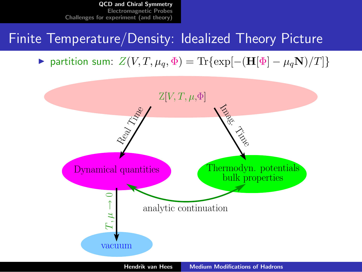### Finite Temperature/Density: Idealized Theory Picture

 $\triangleright$  partition sum:  $Z(V, T, \mu_q, \Phi) = \text{Tr}\{\exp[-(\mathbf{H}[\Phi] - \mu_q \mathbf{N})/T]\}$ 

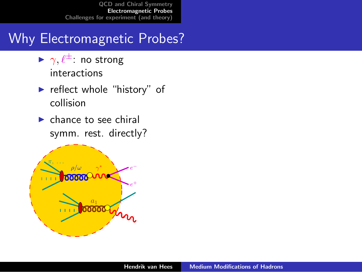## Why Electromagnetic Probes?

- $\blacktriangleright \gamma, \ell^{\pm}$  no strong interactions
- $\blacktriangleright$  reflect whole "history" of collision
- <span id="page-8-0"></span> $\blacktriangleright$  chance to see chiral symm. rest. directly?

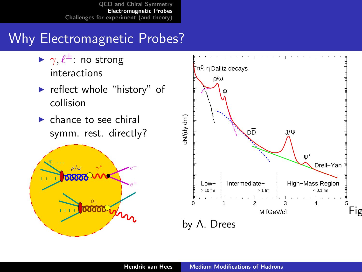## Why Electromagnetic Probes?

- $\blacktriangleright \gamma, \ell^{\pm}$  no strong interactions
- $\blacktriangleright$  reflect whole "history" of collision
- $\blacktriangleright$  chance to see chiral symm. rest. directly?



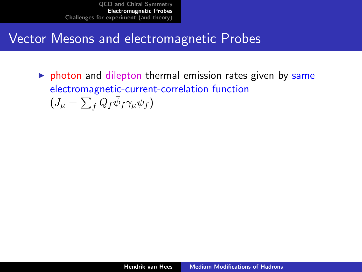### Vector Mesons and electromagnetic Probes

 $\triangleright$  photon and dilepton thermal emission rates given by same electromagnetic-current-correlation function  $(J_\mu = \sum_f Q_f \bar{\psi}_f \gamma_\mu \psi_f)$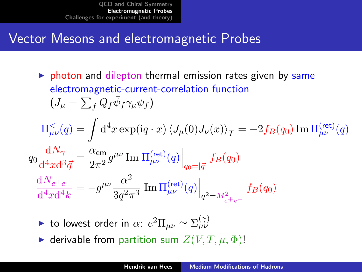## Vector Mesons and electromagnetic Probes

- $\triangleright$  photon and dilepton thermal emission rates given by same electromagnetic-current-correlation function  $(J_\mu = \sum_f Q_f \bar{\psi}_f \gamma_\mu \psi_f)$  $\Pi_{\mu\nu}^<(q) = \int\mathrm{d}^4x \exp(\mathrm{i} q\cdot x)\left\langle J_\mu(0)J_\nu(x)\right\rangle_T = -2f_B(q_0)\,\mathrm{Im}\,\Pi_{\mu\nu}^{\text{(ret)}}(q)$  $q_0 \frac{\mathrm{d}N_{\gamma}}{44 \pi d^2}$  $\frac{\mathrm{d} N_{\gamma}}{\mathrm{d}^4 x \mathrm{d}^3 \vec{q}} = \frac{\alpha_{\sf em}}{2 \pi^2}$  $\left.\frac{\alpha_{\mathsf{em}}}{2\pi^2}g^{\mu\nu}\mathop{\mathrm{Im}}~ \Pi^{(\mathsf{ret})}_{\mu\nu}(q)\right|_{q_0=|\vec{q}|}f_B(q_0)$  $\mathrm{d}N_{e^+e^-}$  $\frac{\mathrm{d}N_{e^+e^-}}{\mathrm{d}^4x\mathrm{d}^4k} = -g^{\mu\nu}\frac{\alpha^2}{3q^2\tau}$  $\left.\frac{\alpha^2}{3 q^2 \pi^3} \; \text{Im}\, \Pi^{(\text{ret})}_{\mu\nu}(q) \right|_{q^2=M_{e^+e^-}^2}$  $f_B(q_0)$ 
	- ightharpoonup to lowest order in  $\alpha$ :  $e^2 \Pi_{\mu\nu} \simeq \Sigma_{\mu\nu}^{(\gamma)}$
	- $\blacktriangleright$  derivable from partition sum  $Z(V, T, \mu, \Phi)$ !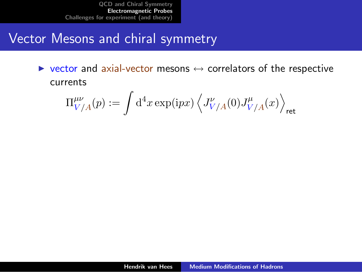### Vector Mesons and chiral symmetry

 $\triangleright$  vector and axial-vector mesons  $\leftrightarrow$  correlators of the respective currents

$$
\Pi^{\mu\nu}_{V/A}(p):=\int\mathrm{d}^4x\exp(\mathrm{i}p x)\left\langle J^{\nu}_{V/A}(0)J^{\mu}_{V/A}(x)\right\rangle_{\rm ret}
$$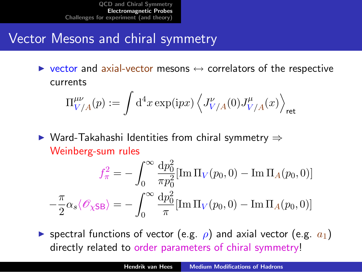## Vector Mesons and chiral symmetry

 $\triangleright$  vector and axial-vector mesons  $\leftrightarrow$  correlators of the respective currents

$$
\Pi^{\mu\nu}_{V/A}(p):=\int\mathrm{d}^4x\exp(\mathrm{i}p x)\left\langle J^{\nu}_{V/A}(0)J^{\mu}_{V/A}(x)\right\rangle_{\rm ret}
$$

 $\triangleright$  Ward-Takahashi Identities from chiral symmetry  $\Rightarrow$ Weinberg-sum rules

$$
f_{\pi}^2 = -\int_0^{\infty} \frac{\mathrm{d}p_0^2}{\pi p_0^2} [\text{Im}\,\Pi_V(p_0, 0) - \text{Im}\,\Pi_A(p_0, 0)]
$$

$$
-\frac{\pi}{2}\alpha_s \langle \mathscr{O}_{\chi \text{SB}} \rangle = -\int_0^{\infty} \frac{\mathrm{d}p_0^2}{\pi} [\text{Im}\,\Pi_V(p_0, 0) - \text{Im}\,\Pi_A(p_0, 0)]
$$

**If** spectral functions of vector (e.g.  $\rho$ ) and axial vector (e.g.  $a_1$ ) directly related to order parameters of chiral symmetry!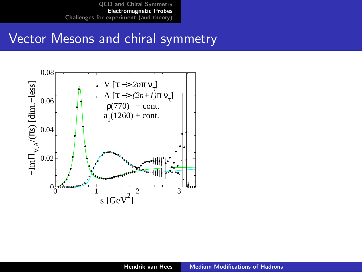#### Vector Mesons and chiral symmetry

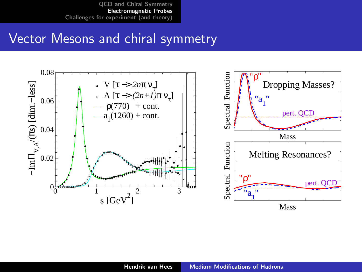#### Vector Mesons and chiral symmetry

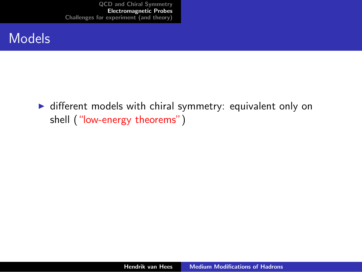#### Models

 $\triangleright$  different models with chiral symmetry: equivalent only on shell ("low-energy theorems")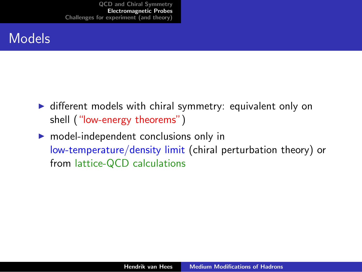- $\triangleright$  different models with chiral symmetry: equivalent only on shell ("low-energy theorems")
- $\triangleright$  model-independent conclusions only in low-temperature/density limit (chiral perturbation theory) or from lattice-QCD calculations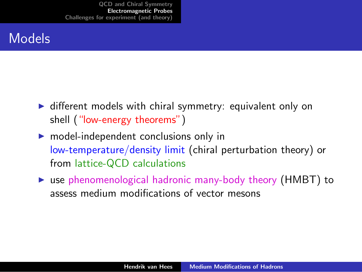- $\triangleright$  different models with chiral symmetry: equivalent only on shell ("low-energy theorems")
- $\triangleright$  model-independent conclusions only in low-temperature/density limit (chiral perturbation theory) or from lattice-QCD calculations
- $\triangleright$  use phenomenological hadronic many-body theory (HMBT) to assess medium modifications of vector mesons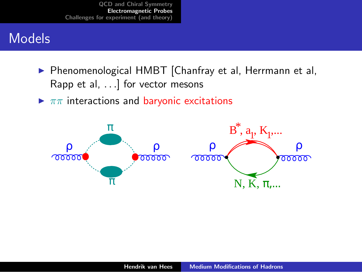- ▶ Phenomenological HMBT [Chanfray et al, Herrmann et al, Rapp et al, . . .] for vector mesons
- $\blacktriangleright \pi\pi$  interactions and baryonic excitations

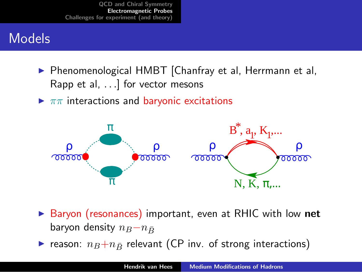- ▶ Phenomenological HMBT [Chanfray et al, Herrmann et al, Rapp et al, . . .] for vector mesons
- $\blacktriangleright \pi\pi$  interactions and baryonic excitations



- ▶ Baryon (resonances) important, even at RHIC with low net baryon density  $n_B-n_{\bar{B}}$
- reason:  $n_B+n_{\bar{B}}$  relevant (CP inv. of strong interactions)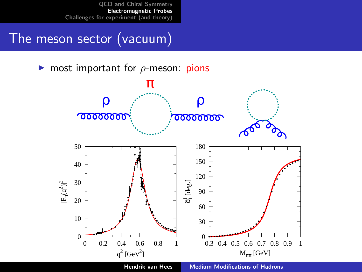## The meson sector (vacuum)

**In** most important for  $\rho$ -meson: pions

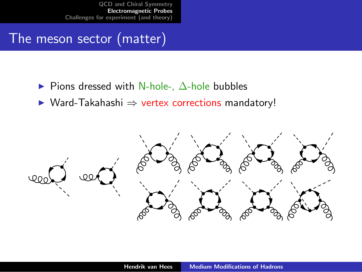### The meson sector (matter)

- $\triangleright$  Pions dressed with N-hole-,  $\Delta$ -hole bubbles
- ▶ Ward-Takahashi ⇒ vertex corrections mandatory!

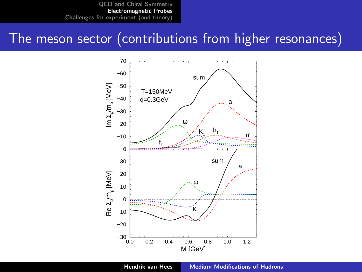#### The meson sector (contributions from higher resonances)

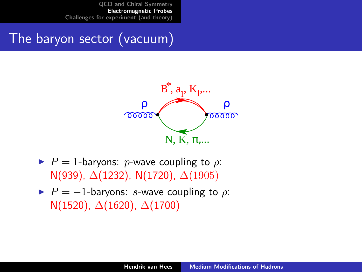## The baryon sector (vacuum)



- $\blacktriangleright$  P = 1-baryons: p-wave coupling to  $\rho$ : N(939), ∆(1232), N(1720), ∆(1905)
- $\blacktriangleright$   $P = -1$ -baryons: s-wave coupling to  $\rho$ : N(1520),  $\Delta$ (1620),  $\Delta$ (1700)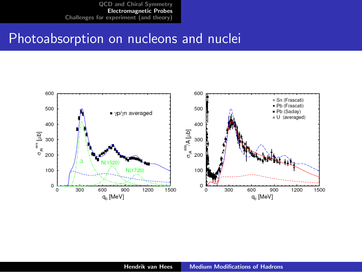#### Photoabsorption on nucleons and nuclei

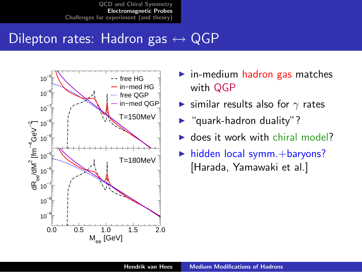## Dilepton rates: Hadron gas  $\leftrightarrow$  QGP



- $\blacktriangleright$  in-medium hadron gas matches with QGP
- $\triangleright$  similar results also for  $\gamma$  rates
- $\blacktriangleright$  "quark-hadron duality"?
- $\blacktriangleright$  does it work with chiral model?
- $\blacktriangleright$  hidden local symm. + baryons? [Harada, Yamawaki et al.]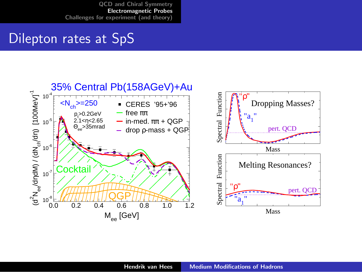### Dilepton rates at SpS

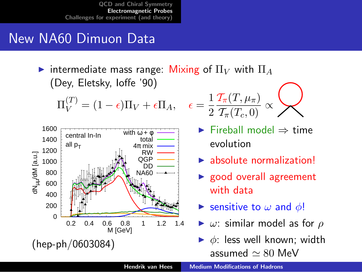## New NA60 Dimuon Data

intermediate mass range: Mixing of  $\Pi_V$  with  $\Pi_A$ (Dey, Eletsky, Ioffe '90)

$$
\Pi_V^{(T)} = (1 - \epsilon)\Pi_V + \epsilon \Pi_A, \quad \epsilon =
$$



$$
\epsilon = \frac{1}{2} \frac{\mathcal{T}_\pi(T,\mu_\pi)}{\mathcal{T}_\pi(T_c,0)} \propto \mathcal{D}
$$

- $\blacktriangleright$  Fireball model  $\Rightarrow$  time evolution
- $\blacktriangleright$  absolute normalization!
- $\blacktriangleright$  good overall agreement with data
- Sensitive to  $\omega$  and  $\phi$ !
- $\triangleright$   $\omega$ : similar model as for  $\rho$
- $\triangleright$   $\phi$ : less well known; width assumed  $\simeq 80$  MeV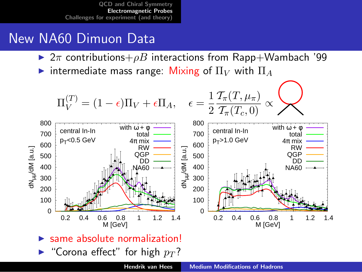- $\triangleright$  2π contributions+ $\rho B$  interactions from Rapp+Wambach '99
- intermediate mass range: Mixing of  $\Pi_V$  with  $\Pi_A$

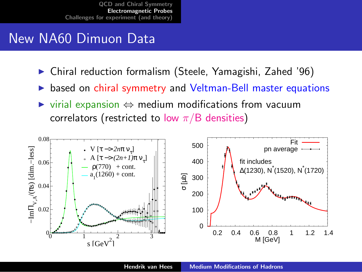- <sup>I</sup> Chiral reduction formalism (Steele, Yamagishi, Zahed '96)
- based on chiral symmetry and Veltman-Bell master equations
- $virial$  expansion  $\Leftrightarrow$  medium modifications from vacuum correlators (restricted to low  $\pi/B$  densities)

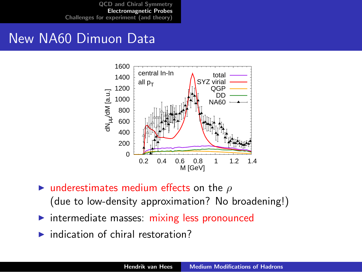

- $\triangleright$  underestimates medium effects on the  $\rho$ (due to low-density approximation? No broadening!)
- intermediate masses: mixing less pronounced
- $\blacktriangleright$  indication of chiral restoration?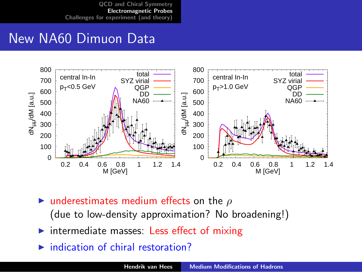

- **Inderestimates medium effects on the**  $\rho$ (due to low-density approximation? No broadening!)
- intermediate masses: Less effect of mixing
- indication of chiral restoration?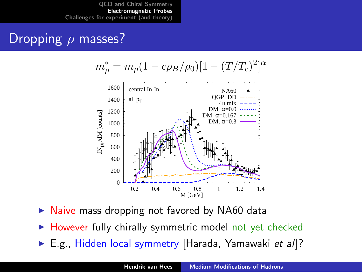### Dropping  $\rho$  masses?

$$
m_{\rho}^* = m_{\rho} (1 - c\rho_B/\rho_0) [1 - (T/T_c)^2]^{\alpha}
$$



- Naive mass dropping not favored by NA60 data
- $\blacktriangleright$  However fully chirally symmetric model not yet checked
- ► E.g., Hidden local symmetry [Harada, Yamawaki et al]?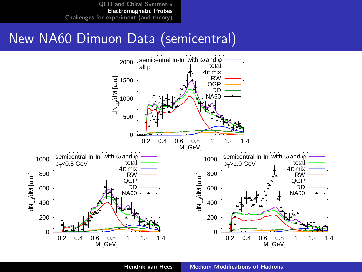#### New NA60 Dimuon Data (semicentral)

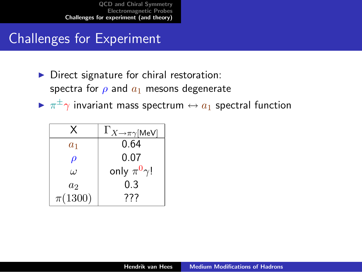## Challenges for Experiment

- $\triangleright$  Direct signature for chiral restoration: spectra for  $\rho$  and  $a_1$  mesons degenerate
- $\blacktriangleright$   $\pi^{\pm}\gamma$  invariant mass spectrum  $\leftrightarrow$   $a_1$  spectral function

<span id="page-35-0"></span>

| x           | $\Gamma_{X\to\pi\gamma[\textsf{MeV}]}$ |
|-------------|----------------------------------------|
| $a_1$       | 0.64                                   |
| $\rho$      | 0.07                                   |
| $\iota$     | only $\pi^0 \gamma$ !                  |
| $a_2$       | 0.3                                    |
| $\pi(1300)$ | 777                                    |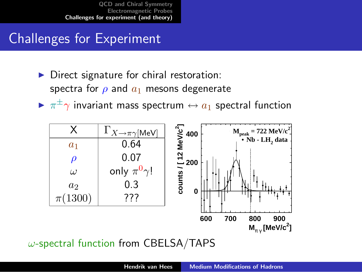## Challenges for Experiment

- Direct signature for chiral restoration: spectra for  $\rho$  and  $a_1$  mesons degenerate
- $\blacktriangleright$   $\pi^{\pm}\gamma$  invariant mass spectrum  $\leftrightarrow$   $a_1$  spectral function



 $\omega$ -spectral function from CBELSA/TAPS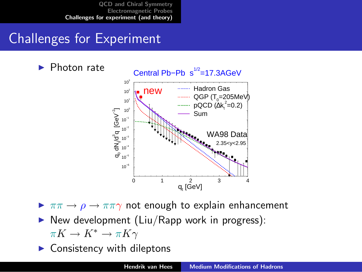## Challenges for Experiment



 $\triangleright \pi\pi \rightarrow \rho \rightarrow \pi\pi\gamma$  not enough to explain enhancement

 $\triangleright$  New development (Liu/Rapp work in progress):

 $\pi K \to K^* \to \pi K \gamma$ 

Consistency with dileptons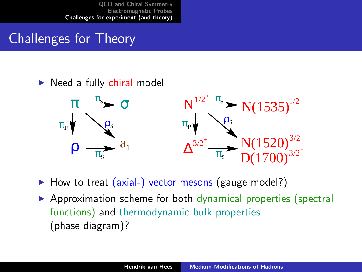# Challenges for Theory

#### $\triangleright$  Need a fully chiral model



 $\blacktriangleright$  How to treat (axial-) vector mesons (gauge model?)

 $\triangleright$  Approximation scheme for both dynamical properties (spectral functions) and thermodynamic bulk properties (phase diagram)?